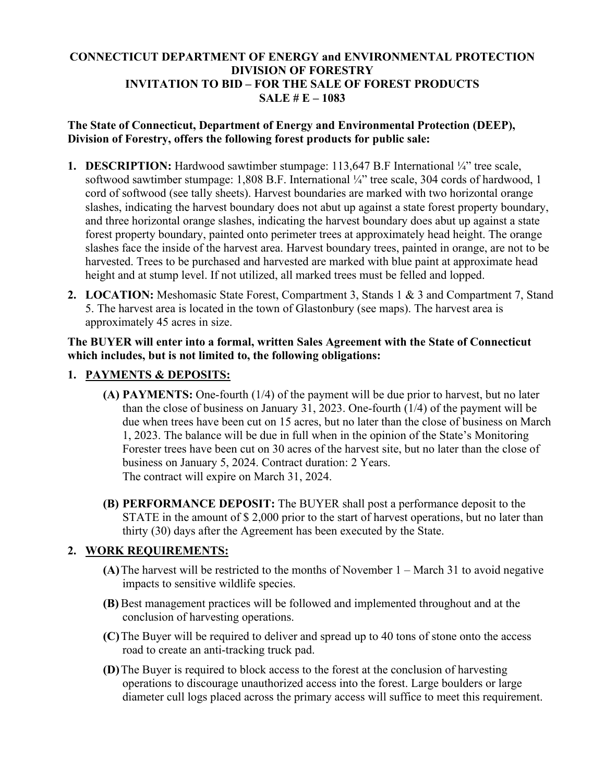### **CONNECTICUT DEPARTMENT OF ENERGY and ENVIRONMENTAL PROTECTION DIVISION OF FORESTRY INVITATION TO BID – FOR THE SALE OF FOREST PRODUCTS SALE # E – 1083**

#### **The State of Connecticut, Department of Energy and Environmental Protection (DEEP), Division of Forestry, offers the following forest products for public sale:**

- **1. DESCRIPTION:** Hardwood sawtimber stumpage: 113,647 B.F International ¼" tree scale, softwood sawtimber stumpage: 1,808 B.F. International ¼" tree scale, 304 cords of hardwood, 1 cord of softwood (see tally sheets). Harvest boundaries are marked with two horizontal orange slashes, indicating the harvest boundary does not abut up against a state forest property boundary, and three horizontal orange slashes, indicating the harvest boundary does abut up against a state forest property boundary, painted onto perimeter trees at approximately head height. The orange slashes face the inside of the harvest area. Harvest boundary trees, painted in orange, are not to be harvested. Trees to be purchased and harvested are marked with blue paint at approximate head height and at stump level. If not utilized, all marked trees must be felled and lopped.
- **2. LOCATION:** Meshomasic State Forest, Compartment 3, Stands 1 & 3 and Compartment 7, Stand 5. The harvest area is located in the town of Glastonbury (see maps). The harvest area is approximately 45 acres in size.

#### **The BUYER will enter into a formal, written Sales Agreement with the State of Connecticut which includes, but is not limited to, the following obligations:**

## **1. PAYMENTS & DEPOSITS:**

- **(A) PAYMENTS:** One-fourth (1/4) of the payment will be due prior to harvest, but no later than the close of business on January 31, 2023. One-fourth (1/4) of the payment will be due when trees have been cut on 15 acres, but no later than the close of business on March 1, 2023. The balance will be due in full when in the opinion of the State's Monitoring Forester trees have been cut on 30 acres of the harvest site, but no later than the close of business on January 5, 2024. Contract duration: 2 Years. The contract will expire on March 31, 2024.
- **(B) PERFORMANCE DEPOSIT:** The BUYER shall post a performance deposit to the STATE in the amount of \$ 2,000 prior to the start of harvest operations, but no later than thirty (30) days after the Agreement has been executed by the State.

#### **2. WORK REQUIREMENTS:**

- **(A)**The harvest will be restricted to the months of November 1 March 31 to avoid negative impacts to sensitive wildlife species.
- **(B)** Best management practices will be followed and implemented throughout and at the conclusion of harvesting operations.
- **(C)**The Buyer will be required to deliver and spread up to 40 tons of stone onto the access road to create an anti-tracking truck pad.
- **(D)**The Buyer is required to block access to the forest at the conclusion of harvesting operations to discourage unauthorized access into the forest. Large boulders or large diameter cull logs placed across the primary access will suffice to meet this requirement.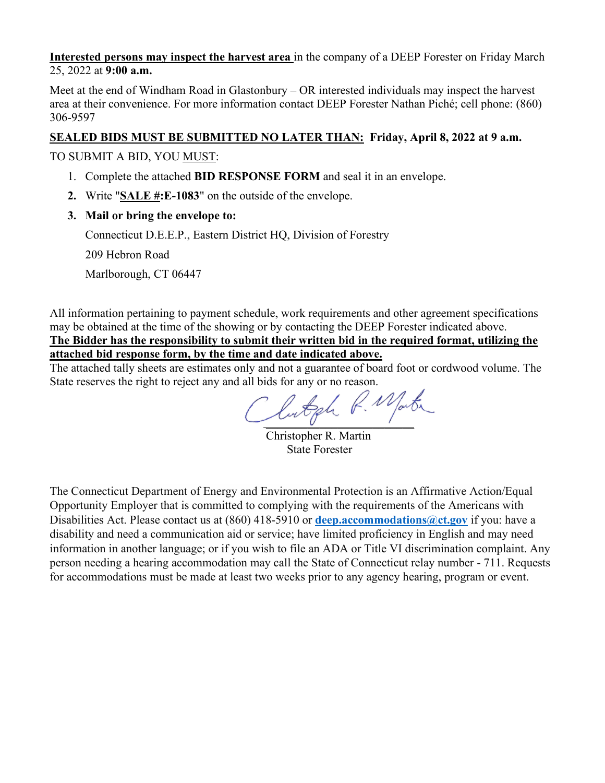**Interested persons may inspect the harvest area** in the company of a DEEP Forester on Friday March 25, 2022 at **9:00 a.m.**

Meet at the end of Windham Road in Glastonbury – OR interested individuals may inspect the harvest area at their convenience. For more information contact DEEP Forester Nathan Piché; cell phone: (860) 306-9597

### **SEALED BIDS MUST BE SUBMITTED NO LATER THAN: Friday, April 8, 2022 at 9 a.m.**

TO SUBMIT A BID, YOU MUST:

- 1. Complete the attached **BID RESPONSE FORM** and seal it in an envelope.
- **2.** Write "**SALE #:E-1083**" on the outside of the envelope.
- **3. Mail or bring the envelope to:**

Connecticut D.E.E.P., Eastern District HQ, Division of Forestry

209 Hebron Road

Marlborough, CT 06447

All information pertaining to payment schedule, work requirements and other agreement specifications may be obtained at the time of the showing or by contacting the DEEP Forester indicated above. **The Bidder has the responsibility to submit their written bid in the required format, utilizing the attached bid response form, by the time and date indicated above.**

The attached tally sheets are estimates only and not a guarantee of board foot or cordwood volume. The State reserves the right to reject any and all bids for any or no reason.

Lutgh R. Mate

 Christopher R. Martin State Forester

The Connecticut Department of Energy and Environmental Protection is an Affirmative Action/Equal Opportunity Employer that is committed to complying with the requirements of the Americans with Disabilities Act. Please contact us at (860) 418-5910 or **[deep.accommodations@ct.gov](mailto:deep.accommodations@ct.gov)** if you: have a disability and need a communication aid or service; have limited proficiency in English and may need information in another language; or if you wish to file an ADA or Title VI discrimination complaint. Any person needing a hearing accommodation may call the State of Connecticut relay number - 711. Requests for accommodations must be made at least two weeks prior to any agency hearing, program or event.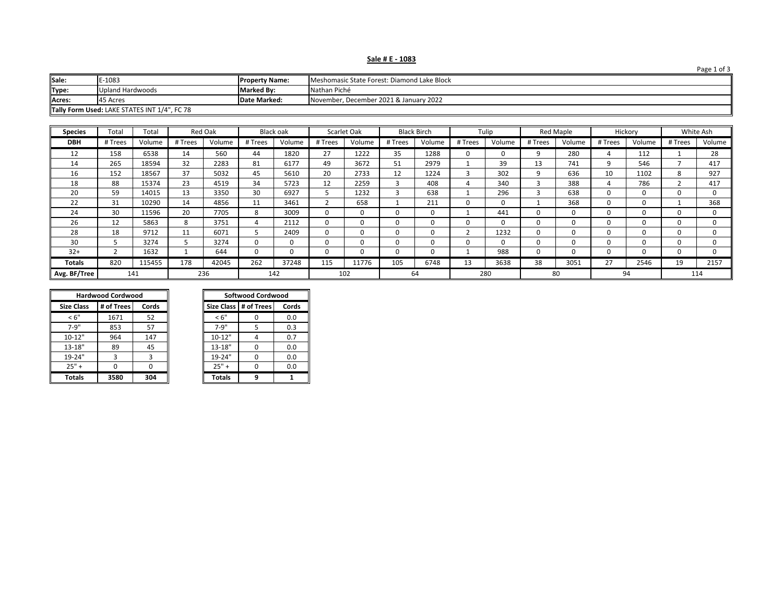|  |  |  |  |  |  | Sale # E - 1083 |  |
|--|--|--|--|--|--|-----------------|--|
|--|--|--|--|--|--|-----------------|--|

| Sale:                                        | -1083                                                                     | <b>Property Name:</b> | Meshomasic State Forest: Diamond Lake Block |  |  |  |  |  |
|----------------------------------------------|---------------------------------------------------------------------------|-----------------------|---------------------------------------------|--|--|--|--|--|
| Type:                                        | <b>Upland Hardwoods</b>                                                   | <b>Marked By:</b>     | Nathan Piché                                |  |  |  |  |  |
| Acres:                                       | November, December 2021 & January 2022<br><b>Date Marked:</b><br>45 Acres |                       |                                             |  |  |  |  |  |
| Tally Form Used: LAKE STATES INT 1/4", FC 78 |                                                                           |                       |                                             |  |  |  |  |  |

| <b>Species</b> | Total   | Total  |         | <b>Red Oak</b> |         | Black oak |          | Scarlet Oak |         | <b>Black Birch</b> |          | Tulip    |              | Red Maple    | Hickory |              |         | White Ash |
|----------------|---------|--------|---------|----------------|---------|-----------|----------|-------------|---------|--------------------|----------|----------|--------------|--------------|---------|--------------|---------|-----------|
| <b>DBH</b>     | # Trees | Volume | # Trees | Volume         | # Trees | Volume    | # Trees  | Volume      | # Trees | Volume             | # Trees  | Volume   | # Trees      | Volume       | # Trees | Volume       | # Trees | Volume    |
| 12             | 158     | 6538   | 14      | 560            | 44      | 1820      | 27       | 1222        | 35      | 1288               | $\Omega$ |          | 9            | 280          |         | 112          |         | 28        |
| 14             | 265     | 18594  | 32      | 2283           | 81      | 6177      | 49       | 3672        | 51      | 2979               |          | 39       | 13           | 741          | 9       | 546          |         | 417       |
| 16             | 152     | 18567  | 37      | 5032           | 45      | 5610      | 20       | 2733        | 12      | 1224               |          | 302      | q            | 636          | 10      | 1102         |         | 927       |
| 18             | 88      | 15374  | 23      | 4519           | 34      | 5723      | 12       | 2259        |         | 408                |          | 340      | 3            | 388          |         | 786          |         | 417       |
| 20             | 59      | 14015  | 13      | 3350           | 30      | 6927      | כ        | 1232        |         | 638                |          | 296      |              | 638          | 0       | <sup>0</sup> |         | 0         |
| 22             | 31      | 10290  | 14      | 4856           | 11      | 3461      |          | 658         |         | 211                | $\Omega$ | 0        |              | 368          | 0       | 0            |         | 368       |
| 24             | 30      | 11596  | 20      | 7705           | 8       | 3009      | $\Omega$ | 0           |         | O.                 |          | 441      | <sup>0</sup> | <sup>0</sup> | 0       | <sup>0</sup> |         | 0         |
| 26             | 12      | 5863   | 8       | 3751           | 4       | 2112      | 0        | 0           |         |                    |          | 0        | 0            |              |         | 0            |         | $\Omega$  |
| 28             | 18      | 9712   | 11      | 6071           | 5       | 2409      | $\Omega$ | 0           | O       |                    |          | 1232     | 0            |              | ŋ       | <sup>0</sup> |         | 0         |
| 30             |         | 3274   |         | 3274           | 0       | $\Omega$  | 0        | 0           | 0       |                    | $\Omega$ | $\Omega$ |              |              | 0       | 0            |         | $\Omega$  |
| $32+$          |         | 1632   |         | 644            | 0       |           | 0        | 0           |         |                    |          | 988      | 0            |              |         | 0            |         | 0         |
| Totals         | 820     | 115455 | 178     | 42045          | 262     | 37248     | 115      | 11776       | 105     | 6748               | 13       | 3638     | 38           | 3051         | 27      | 2546         | 19      | 2157      |
| Avg. BF/Tree   | 141     |        |         | 236            |         | 142       |          | 102         |         | 64                 | 280      |          |              | 80           | 94      |              |         | 114       |

|                   | <b>Hardwood Cordwood</b> |       | <b>Softwood Cordwood</b> |                         |       |  |  |
|-------------------|--------------------------|-------|--------------------------|-------------------------|-------|--|--|
| <b>Size Class</b> | # of Trees               | Cords |                          | Size Class   # of Trees | Cords |  |  |
| < 6"              | 1671                     | 52    | < 6"                     |                         | 0.0   |  |  |
| $7 - 9"$          | 853                      | 57    | $7 - 9"$                 |                         | 0.3   |  |  |
| $10 - 12"$        | 964                      | 147   | $10 - 12"$               |                         | 0.7   |  |  |
| $13 - 18"$        | 89                       | 45    | 13-18"                   | O                       | 0.0   |  |  |
| 19-24"            | 3                        | 3     | 19-24"                   | $\Omega$                | 0.0   |  |  |
| $25" +$           |                          | 0     | $25" +$                  | $\Omega$                | 0.0   |  |  |
| <b>Totals</b>     | 3580                     | 304   | <b>Totals</b>            | q                       |       |  |  |

| Softwood Cordwood              |   |     |  |  |  |  |  |  |
|--------------------------------|---|-----|--|--|--|--|--|--|
| Size Class # of Trees<br>Cords |   |     |  |  |  |  |  |  |
| < 6"                           |   | 0.0 |  |  |  |  |  |  |
| $7 - 9"$                       | 5 | 0.3 |  |  |  |  |  |  |
| $10 - 12"$                     |   | 0.7 |  |  |  |  |  |  |
| $13 - 18"$                     | ŋ | 0.0 |  |  |  |  |  |  |
| $19 - 24"$                     | ŋ | 0.0 |  |  |  |  |  |  |
| $25" +$                        | n | 0.0 |  |  |  |  |  |  |
| <b>Totals</b>                  |   |     |  |  |  |  |  |  |

Page 1 of 3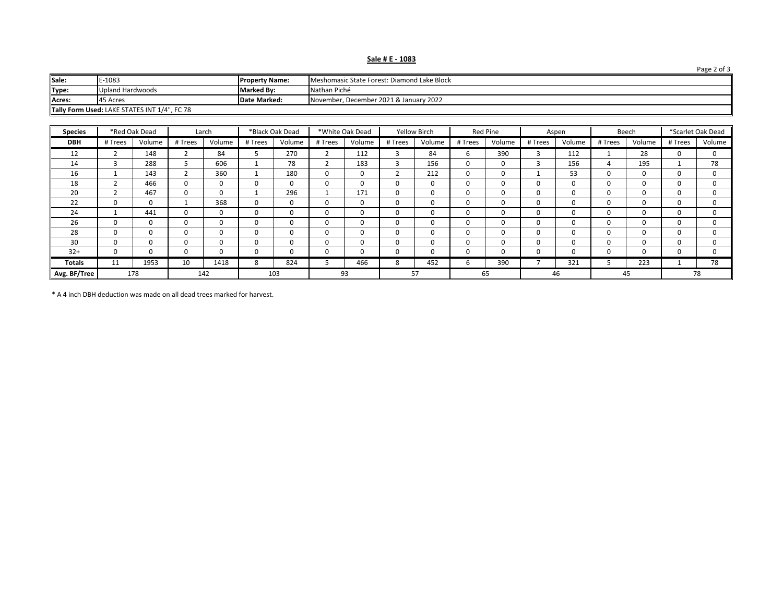| Sale # E - 1083 |  |  |  |  |
|-----------------|--|--|--|--|
|                 |  |  |  |  |

| Sale:                                                                        | E-1083           | <b>Property Name:</b> | Meshomasic State Forest: Diamond Lake Block |  |  |  |  |
|------------------------------------------------------------------------------|------------------|-----------------------|---------------------------------------------|--|--|--|--|
| Type:                                                                        | Upland Hardwoods | <b>Marked By:</b>     | Nathan Piché                                |  |  |  |  |
| Acres:<br>November, December 2021 & January 2022<br>Date Marked:<br>45 Acres |                  |                       |                                             |  |  |  |  |
| Tally Form Used: LAKE STATES INT 1/4", FC 78                                 |                  |                       |                                             |  |  |  |  |

| <b>Species</b> |         | *Red Oak Dead |          | Larch    |          | *Black Oak Dead |          | *White Oak Dead |          | <b>Yellow Birch</b> |          | Red Pine     |         | Aspen    |         | Beech  |         | *Scarlet Oak Dead |
|----------------|---------|---------------|----------|----------|----------|-----------------|----------|-----------------|----------|---------------------|----------|--------------|---------|----------|---------|--------|---------|-------------------|
| <b>DBH</b>     | # Trees | Volume        | # Trees  | Volume   | # Trees  | Volume          | # Trees  | Volume          | # Trees  | Volume              | # Trees  | Volume       | # Trees | Volume   | # Trees | Volume | # Trees | Volume            |
| 12             |         | 148           |          | 84       |          | 270             | ∠        | 112             | э        | 84                  | b        | 390          |         | 112      |         | 28     |         | $\Omega$          |
| 14             |         | 288           |          | 606      |          | 78              |          | 183             | 3        | 156                 | $\Omega$ | $\Omega$     |         | 156      | 4       | 195    |         | 78                |
| 16             |         | 143           |          | 360      |          | 180             | $\Omega$ | $\Omega$        |          | 212                 | $\Omega$ | $\Omega$     |         | 53       |         |        |         | 0                 |
| 18             |         | 466           | 0        | 0        | $\Omega$ | 0               | $\Omega$ | 0               | 0        | 0                   | $\Omega$ | $\Omega$     | 0       | 0        | 0       |        |         | 0                 |
| 20             |         | 467           | 0        | $\Omega$ |          | 296             |          | 171             | 0        | 0                   | $\Omega$ |              | 0       |          |         |        |         | $\Omega$          |
| 22             | 0       | 0             |          | 368      | $\Omega$ | 0               | $\Omega$ | 0               | 0        | 0                   | $\Omega$ | <sup>0</sup> | 0       |          |         |        |         | 0                 |
| 24             |         | 441           | $\Omega$ | $\Omega$ | $\Omega$ | 0               | $\Omega$ | 0               | $\Omega$ | 0                   | $\Omega$ | $\Omega$     | 0       | O        | O       |        |         | $\Omega$          |
| 26             | 0       | 0             |          | 0        | O        | 0               | $\Omega$ | 0               | 0        | 0                   | $\Omega$ | $\Omega$     | 0       |          | 0       |        |         | $\Omega$          |
| 28             | 0       | 0             |          | $\Omega$ |          | 0               | $\Omega$ | $\Omega$        | $\Omega$ | 0                   | $\Omega$ | O            | 0       | ŋ        | 0       |        |         | $\Omega$          |
| 30             | 0       | 0             | $\Omega$ | 0        | $\Omega$ | 0               | $\Omega$ | 0               | 0        | 0                   | $\Omega$ | $\Omega$     | 0       | $\Omega$ |         |        |         | $\Omega$          |
| $32+$          | 0       | 0             |          | 0        | O        | 0               | $\Omega$ | 0               | 0        | 0                   | $\Omega$ | <sup>0</sup> | 0       | $\Omega$ | 0       |        |         | $\Omega$          |
| Totals         | 11      | 1953          | 10       | 1418     | 8        | 824             |          | 466             | 8        | 452                 | b        | 390          |         | 321      |         | 223    |         | 78                |
| Avg. BF/Tree   |         | 178           |          | 142      |          | 103             |          | 93              |          | 57                  |          | 65           |         | 46       |         | 45     |         | 78                |

\* A 4 inch DBH deduction was made on all dead trees marked for harvest.

Page 2 of 3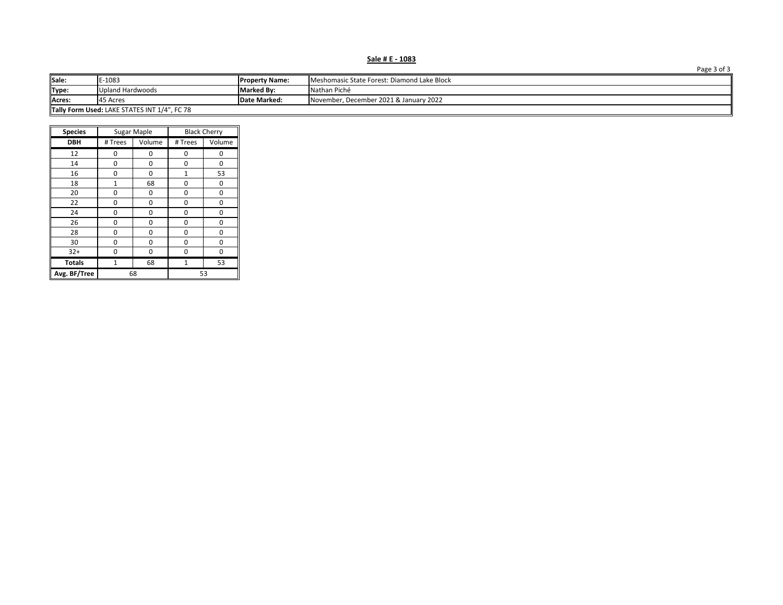**Sale # E - 1083**

| Sale:                                                                        | E-1083           | <b>Property Name:</b> | Meshomasic State Forest: Diamond Lake Block |  |  |  |  |
|------------------------------------------------------------------------------|------------------|-----------------------|---------------------------------------------|--|--|--|--|
| Type:                                                                        | Upland Hardwoods | <b>Marked By:</b>     | Nathan Piché                                |  |  |  |  |
| Acres:<br>Date Marked:<br>November, December 2021 & January 2022<br>45 Acres |                  |                       |                                             |  |  |  |  |
| Tally Form Used: LAKE STATES INT 1/4", FC 78                                 |                  |                       |                                             |  |  |  |  |

| <b>Species</b> |                | Sugar Maple |                | <b>Black Cherry</b> |  |  |
|----------------|----------------|-------------|----------------|---------------------|--|--|
| <b>DBH</b>     | # Trees        | Volume      | # Trees        | Volume              |  |  |
| 12             | 0              | 0           | 0              | 0                   |  |  |
| 14             | 0              | 0           | 0              | 0                   |  |  |
| 16             | 0              | 0           | $\mathbf{1}$   | 53                  |  |  |
| 18             | 1              | 68          | 0              | 0                   |  |  |
| 20             | 0              | 0           | 0              | 0                   |  |  |
| 22             | 0              | 0           | 0              | 0                   |  |  |
| 24             | 0              | 0           | 0              | 0                   |  |  |
| 26             | 0              | 0           | 0              | 0                   |  |  |
| 28             | 0              | 0           | 0              | 0                   |  |  |
| 30             | 0              | 0           | 0              | 0                   |  |  |
| $32+$          | 0              | 0           | 0              | 0                   |  |  |
| <b>Totals</b>  | $\overline{1}$ | 68          | $\overline{1}$ | 53                  |  |  |
| Avg. BF/Tree   |                | 68          | 53             |                     |  |  |

Page 3 of 3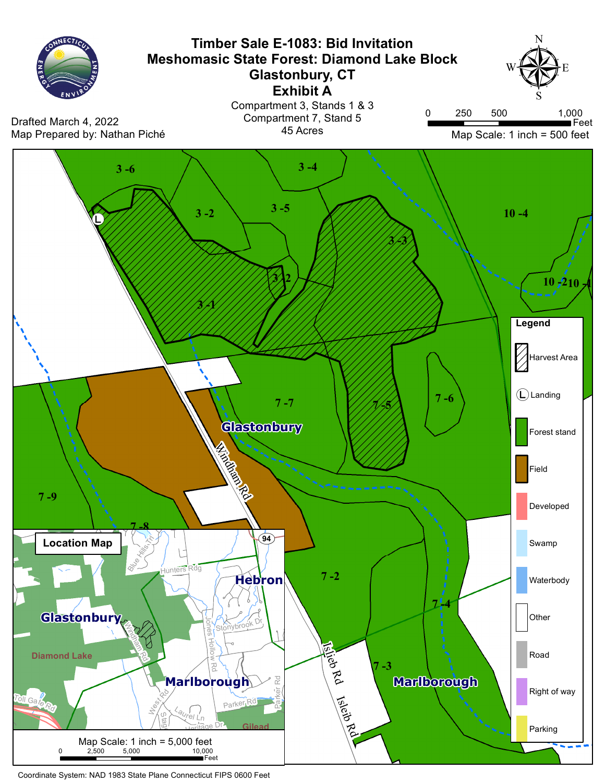

Coordinate System: NAD 1983 State Plane Connecticut FIPS 0600 Feet